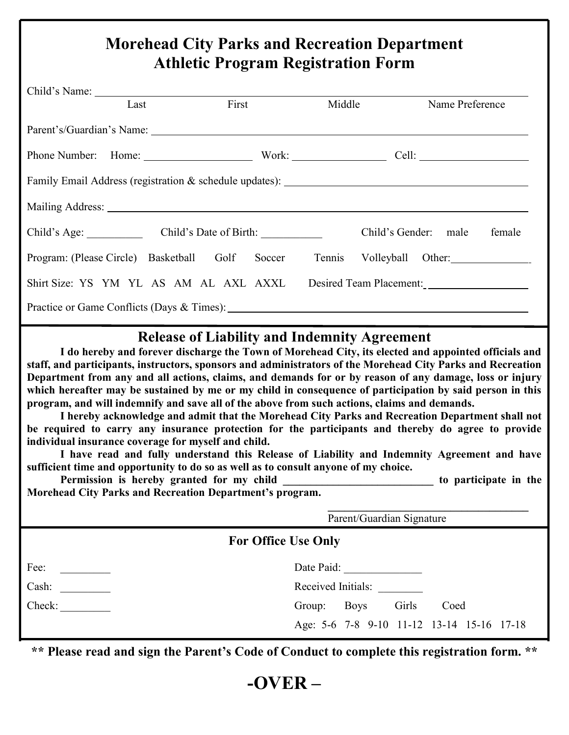## **Morehead City Parks and Recreation Department Athletic Program Registration Form**

|                                                                                   | Last | First |  |  | Middle<br>Name Preference                                                                                                                                                                                                      |  |  |
|-----------------------------------------------------------------------------------|------|-------|--|--|--------------------------------------------------------------------------------------------------------------------------------------------------------------------------------------------------------------------------------|--|--|
|                                                                                   |      |       |  |  | Parent's/Guardian's Name: 1988. [19] March 2014. [19] March 2014. [19] March 2014. [19] March 2014. [19] March 2014. [19] March 2014. [19] March 2014. [19] March 2014. [19] March 2014. [19] March 2014. [19] March 2014. [19 |  |  |
|                                                                                   |      |       |  |  |                                                                                                                                                                                                                                |  |  |
| Family Email Address (registration & schedule updates): _________________________ |      |       |  |  |                                                                                                                                                                                                                                |  |  |
|                                                                                   |      |       |  |  |                                                                                                                                                                                                                                |  |  |
| Child's Age: Child's Date of Birth:                                               |      |       |  |  | Child's Gender: male<br>female                                                                                                                                                                                                 |  |  |
| Program: (Please Circle) Basketball Golf Soccer                                   |      |       |  |  | Tennis Volleyball Other:                                                                                                                                                                                                       |  |  |
| Shirt Size: YS YM YL AS AM AL AXL AXXL                                            |      |       |  |  | Desired Team Placement:                                                                                                                                                                                                        |  |  |
|                                                                                   |      |       |  |  | Practice or Game Conflicts (Days & Times):                                                                                                                                                                                     |  |  |

## **Release of Liability and Indemnity Agreement**

**I do hereby and forever discharge the Town of Morehead City, its elected and appointed officials and staff, and participants, instructors, sponsors and administrators of the Morehead City Parks and Recreation Department from any and all actions, claims, and demands for or by reason of any damage, loss or injury which hereafter may be sustained by me or my child in consequence of participation by said person in this program, and will indemnify and save all of the above from such actions, claims and demands.**

**I hereby acknowledge and admit that the Morehead City Parks and Recreation Department shall not be required to carry any insurance protection for the participants and thereby do agree to provide individual insurance coverage for myself and child.**

**I have read and fully understand this Release of Liability and Indemnity Agreement and have sufficient time and opportunity to do so as well as to consult anyone of my choice.**

Permission is hereby granted for my child to participate in the **Morehead City Parks and Recreation Department's program.**

|                            | Parent/Guardian Signature                 |  |  |  |  |  |
|----------------------------|-------------------------------------------|--|--|--|--|--|
| <b>For Office Use Only</b> |                                           |  |  |  |  |  |
| Fee:                       | Date Paid:                                |  |  |  |  |  |
| Cash:                      | Received Initials:                        |  |  |  |  |  |
| Check:                     | Girls<br><b>Boys</b><br>Group:<br>Coed    |  |  |  |  |  |
|                            | Age: 5-6 7-8 9-10 11-12 13-14 15-16 17-18 |  |  |  |  |  |

**\*\* Please read and sign the Parent's Code of Conduct to complete this registration form. \*\***

**-OVER –**